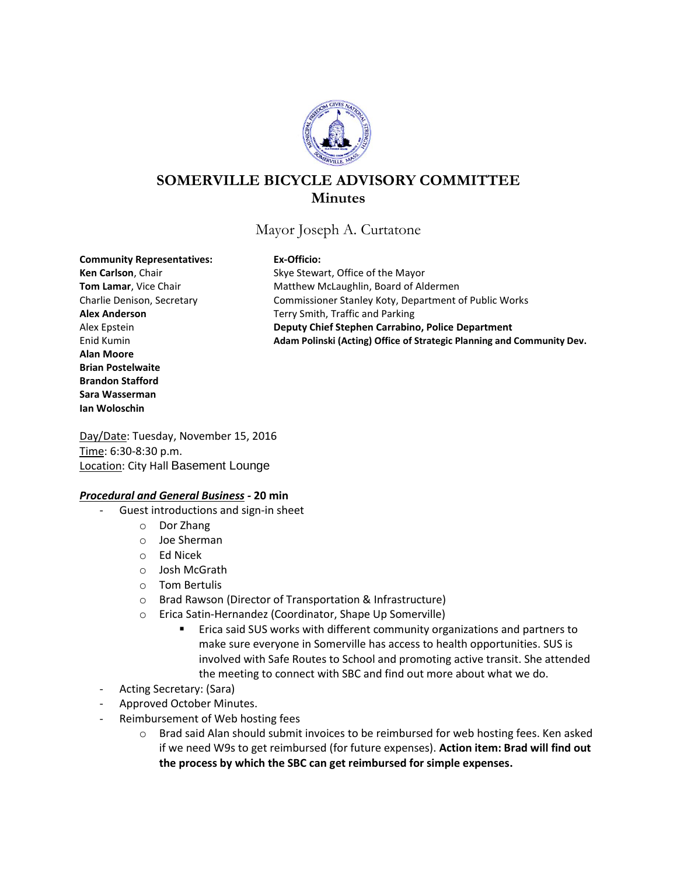

# **SOMERVILLE BICYCLE ADVISORY COMMITTEE Minutes**

Mayor Joseph A. Curtatone

#### **Community Representatives: Ex-Officio:**

**Alan Moore Brian Postelwaite Brandon Stafford Sara Wasserman Ian Woloschin**

Ken Carlson, Chair **Ken Carlson**, Chair Skye Stewart, Office of the Mayor **Tom Lamar**, Vice Chair **Matthew McLaughlin, Board of Aldermen** Charlie Denison, Secretary Commissioner Stanley Koty, Department of Public Works **Alex Anderson** Terry Smith, Traffic and Parking Alex Epstein **Deputy Chief Stephen Carrabino, Police Department** Enid Kumin **Adam Polinski (Acting) Office of Strategic Planning and Community Dev.**

Day/Date: Tuesday, November 15, 2016 Time: 6:30-8:30 p.m. Location: City Hall Basement Lounge

### *Procedural and General Business -* **20 min**

- Guest introductions and sign-in sheet
	- o Dor Zhang
	- o Joe Sherman
	- o Ed Nicek
	- o Josh McGrath
	- o Tom Bertulis
	- o Brad Rawson (Director of Transportation & Infrastructure)
	- o Erica Satin-Hernandez (Coordinator, Shape Up Somerville)
		- Erica said SUS works with different community organizations and partners to make sure everyone in Somerville has access to health opportunities. SUS is involved with Safe Routes to School and promoting active transit. She attended the meeting to connect with SBC and find out more about what we do.
- Acting Secretary: (Sara)
- Approved October Minutes.
- Reimbursement of Web hosting fees
	- o Brad said Alan should submit invoices to be reimbursed for web hosting fees. Ken asked if we need W9s to get reimbursed (for future expenses). **Action item: Brad will find out the process by which the SBC can get reimbursed for simple expenses.**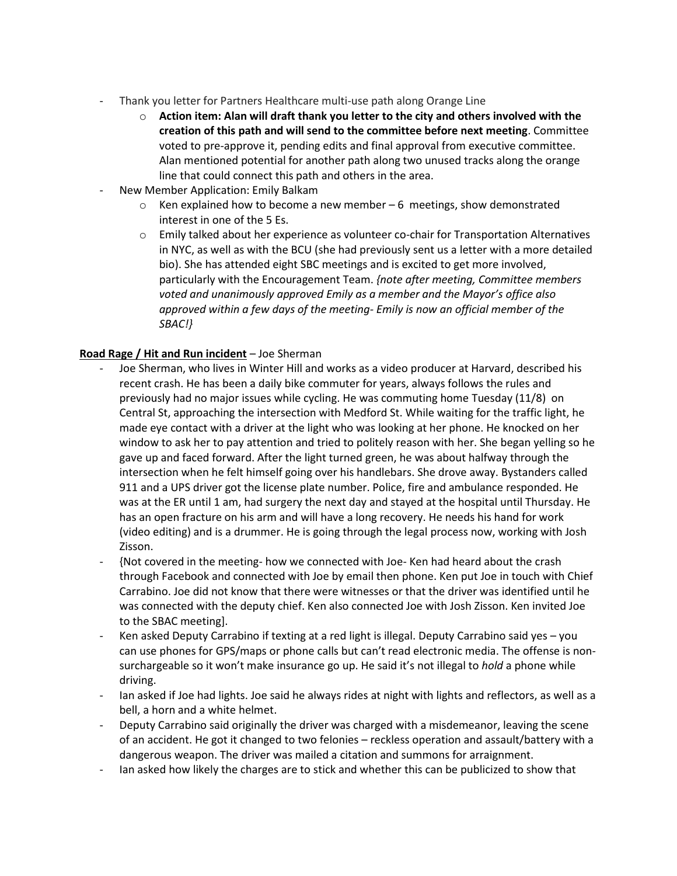- Thank you letter for Partners Healthcare multi-use path along Orange Line
	- o **Action item: Alan will draft thank you letter to the city and others involved with the creation of this path and will send to the committee before next meeting**. Committee voted to pre-approve it, pending edits and final approval from executive committee. Alan mentioned potential for another path along two unused tracks along the orange line that could connect this path and others in the area.
- New Member Application: Emily Balkam
	- $\circ$  Ken explained how to become a new member 6 meetings, show demonstrated interest in one of the 5 Es.
	- $\circ$  Emily talked about her experience as volunteer co-chair for Transportation Alternatives in NYC, as well as with the BCU (she had previously sent us a letter with a more detailed bio). She has attended eight SBC meetings and is excited to get more involved, particularly with the Encouragement Team. *{note after meeting, Committee members voted and unanimously approved Emily as a member and the Mayor's office also approved within a few days of the meeting- Emily is now an official member of the SBAC!}*

# **Road Rage / Hit and Run incident** – Joe Sherman

- Joe Sherman, who lives in Winter Hill and works as a video producer at Harvard, described his recent crash. He has been a daily bike commuter for years, always follows the rules and previously had no major issues while cycling. He was commuting home Tuesday (11/8) on Central St, approaching the intersection with Medford St. While waiting for the traffic light, he made eye contact with a driver at the light who was looking at her phone. He knocked on her window to ask her to pay attention and tried to politely reason with her. She began yelling so he gave up and faced forward. After the light turned green, he was about halfway through the intersection when he felt himself going over his handlebars. She drove away. Bystanders called 911 and a UPS driver got the license plate number. Police, fire and ambulance responded. He was at the ER until 1 am, had surgery the next day and stayed at the hospital until Thursday. He has an open fracture on his arm and will have a long recovery. He needs his hand for work (video editing) and is a drummer. He is going through the legal process now, working with Josh Zisson.
- {Not covered in the meeting- how we connected with Joe- Ken had heard about the crash through Facebook and connected with Joe by email then phone. Ken put Joe in touch with Chief Carrabino. Joe did not know that there were witnesses or that the driver was identified until he was connected with the deputy chief. Ken also connected Joe with Josh Zisson. Ken invited Joe to the SBAC meeting].
- Ken asked Deputy Carrabino if texting at a red light is illegal. Deputy Carrabino said yes you can use phones for GPS/maps or phone calls but can't read electronic media. The offense is nonsurchargeable so it won't make insurance go up. He said it's not illegal to *hold* a phone while driving.
- Ian asked if Joe had lights. Joe said he always rides at night with lights and reflectors, as well as a bell, a horn and a white helmet.
- Deputy Carrabino said originally the driver was charged with a misdemeanor, leaving the scene of an accident. He got it changed to two felonies – reckless operation and assault/battery with a dangerous weapon. The driver was mailed a citation and summons for arraignment.
- lan asked how likely the charges are to stick and whether this can be publicized to show that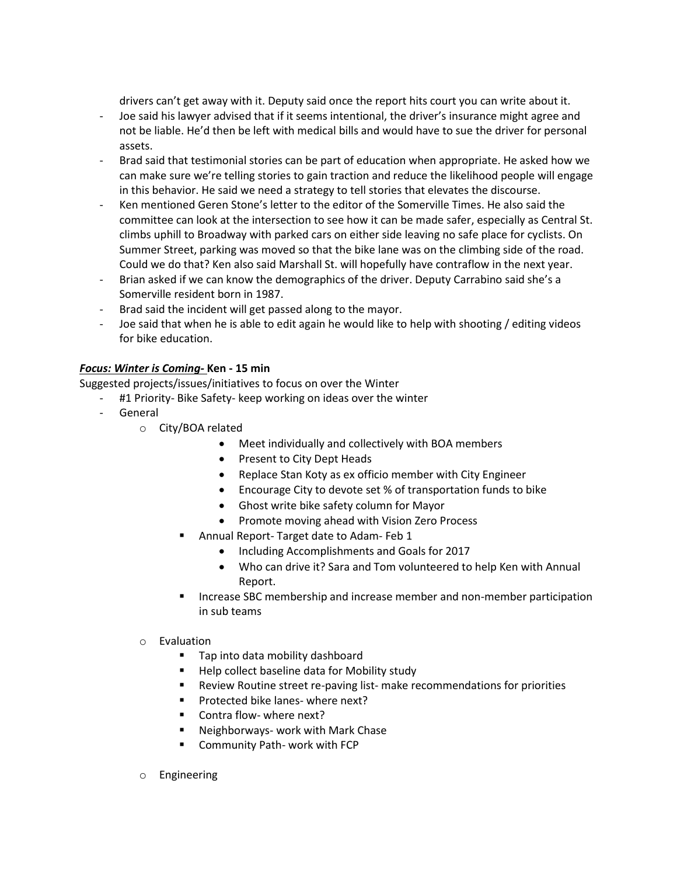drivers can't get away with it. Deputy said once the report hits court you can write about it.

- Joe said his lawyer advised that if it seems intentional, the driver's insurance might agree and not be liable. He'd then be left with medical bills and would have to sue the driver for personal assets.
- Brad said that testimonial stories can be part of education when appropriate. He asked how we can make sure we're telling stories to gain traction and reduce the likelihood people will engage in this behavior. He said we need a strategy to tell stories that elevates the discourse.
- Ken mentioned Geren Stone's letter to the editor of the Somerville Times. He also said the committee can look at the intersection to see how it can be made safer, especially as Central St. climbs uphill to Broadway with parked cars on either side leaving no safe place for cyclists. On Summer Street, parking was moved so that the bike lane was on the climbing side of the road. Could we do that? Ken also said Marshall St. will hopefully have contraflow in the next year.
- Brian asked if we can know the demographics of the driver. Deputy Carrabino said she's a Somerville resident born in 1987.
- Brad said the incident will get passed along to the mayor.
- Joe said that when he is able to edit again he would like to help with shooting / editing videos for bike education.

## *Focus: Winter is Coming-* **Ken - 15 min**

Suggested projects/issues/initiatives to focus on over the Winter

- #1 Priority- Bike Safety- keep working on ideas over the winter
- General
	- o City/BOA related
		- Meet individually and collectively with BOA members
		- Present to City Dept Heads
		- Replace Stan Koty as ex officio member with City Engineer
		- Encourage City to devote set % of transportation funds to bike
		- Ghost write bike safety column for Mayor
		- Promote moving ahead with Vision Zero Process
		- Annual Report- Target date to Adam- Feb 1
			- Including Accomplishments and Goals for 2017
			- Who can drive it? Sara and Tom volunteered to help Ken with Annual Report.
		- Increase SBC membership and increase member and non-member participation in sub teams
	- o Evaluation
		- **Tap into data mobility dashboard**
		- Help collect baseline data for Mobility study
		- Review Routine street re-paving list- make recommendations for priorities
		- **Protected bike lanes- where next?**
		- Contra flow- where next?
		- **Neighborways- work with Mark Chase**
		- Community Path- work with FCP
	- o Engineering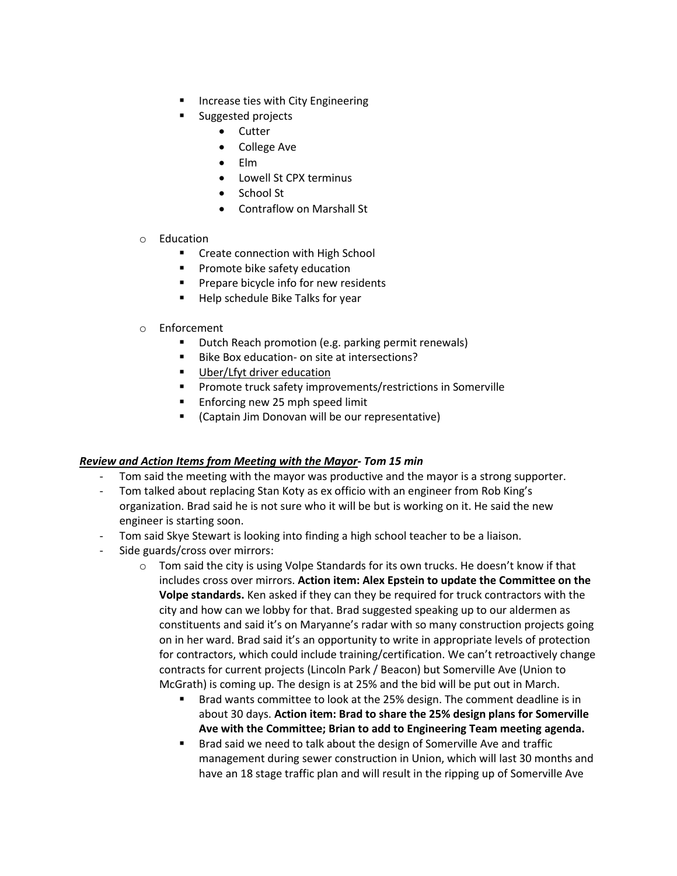- Increase ties with City Engineering
- Suggested projects
	- Cutter
	- College Ave
	- Elm
	- Lowell St CPX terminus
	- School St
	- Contraflow on Marshall St
- o Education
	- Create connection with High School
	- **Promote bike safety education**
	- **Prepare bicycle info for new residents**
	- **Help schedule Bike Talks for year**
- o Enforcement
	- **Dutch Reach promotion (e.g. parking permit renewals)**
	- Bike Box education- on site at intersections?
	- **Uber/Lfyt driver education**
	- Promote truck safety improvements/restrictions in Somerville
	- **Enforcing new 25 mph speed limit**
	- (Captain Jim Donovan will be our representative)

### *Review and Action Items from Meeting with the Mayor- Tom 15 min*

- Tom said the meeting with the mayor was productive and the mayor is a strong supporter.
- Tom talked about replacing Stan Koty as ex officio with an engineer from Rob King's organization. Brad said he is not sure who it will be but is working on it. He said the new engineer is starting soon.
- Tom said Skye Stewart is looking into finding a high school teacher to be a liaison.
- Side guards/cross over mirrors:
	- $\circ$  Tom said the city is using Volpe Standards for its own trucks. He doesn't know if that includes cross over mirrors. **Action item: Alex Epstein to update the Committee on the Volpe standards.** Ken asked if they can they be required for truck contractors with the city and how can we lobby for that. Brad suggested speaking up to our aldermen as constituents and said it's on Maryanne's radar with so many construction projects going on in her ward. Brad said it's an opportunity to write in appropriate levels of protection for contractors, which could include training/certification. We can't retroactively change contracts for current projects (Lincoln Park / Beacon) but Somerville Ave (Union to McGrath) is coming up. The design is at 25% and the bid will be put out in March.
		- Brad wants committee to look at the 25% design. The comment deadline is in about 30 days. **Action item: Brad to share the 25% design plans for Somerville Ave with the Committee; Brian to add to Engineering Team meeting agenda.**
		- Brad said we need to talk about the design of Somerville Ave and traffic management during sewer construction in Union, which will last 30 months and have an 18 stage traffic plan and will result in the ripping up of Somerville Ave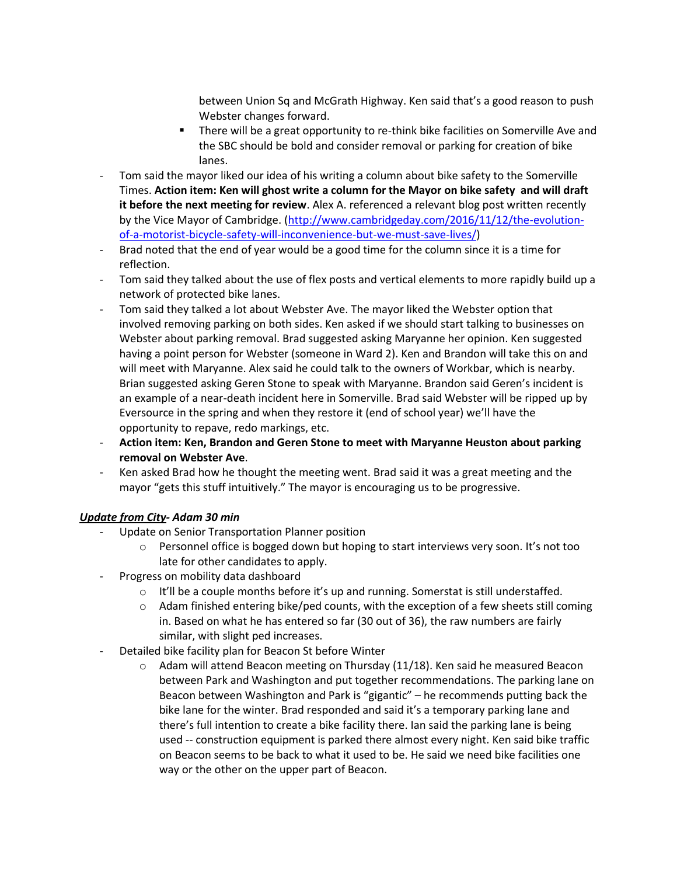between Union Sq and McGrath Highway. Ken said that's a good reason to push Webster changes forward.

- There will be a great opportunity to re-think bike facilities on Somerville Ave and the SBC should be bold and consider removal or parking for creation of bike lanes.
- Tom said the mayor liked our idea of his writing a column about bike safety to the Somerville Times. **Action item: Ken will ghost write a column for the Mayor on bike safety and will draft it before the next meeting for review**. Alex A. referenced a relevant blog post written recently by the Vice Mayor of Cambridge. [\(http://www.cambridgeday.com/2016/11/12/the-evolution](http://www.cambridgeday.com/2016/11/12/the-evolution-of-a-motorist-bicycle-safety-will-inconvenience-but-we-must-save-lives/)[of-a-motorist-bicycle-safety-will-inconvenience-but-we-must-save-lives/\)](http://www.cambridgeday.com/2016/11/12/the-evolution-of-a-motorist-bicycle-safety-will-inconvenience-but-we-must-save-lives/)
- Brad noted that the end of year would be a good time for the column since it is a time for reflection.
- Tom said they talked about the use of flex posts and vertical elements to more rapidly build up a network of protected bike lanes.
- Tom said they talked a lot about Webster Ave. The mayor liked the Webster option that involved removing parking on both sides. Ken asked if we should start talking to businesses on Webster about parking removal. Brad suggested asking Maryanne her opinion. Ken suggested having a point person for Webster (someone in Ward 2). Ken and Brandon will take this on and will meet with Maryanne. Alex said he could talk to the owners of Workbar, which is nearby. Brian suggested asking Geren Stone to speak with Maryanne. Brandon said Geren's incident is an example of a near-death incident here in Somerville. Brad said Webster will be ripped up by Eversource in the spring and when they restore it (end of school year) we'll have the opportunity to repave, redo markings, etc.
- **Action item: Ken, Brandon and Geren Stone to meet with Maryanne Heuston about parking removal on Webster Ave**.
- Ken asked Brad how he thought the meeting went. Brad said it was a great meeting and the mayor "gets this stuff intuitively." The mayor is encouraging us to be progressive.

# *Update from City- Adam 30 min*

- Update on Senior Transportation Planner position
	- $\circ$  Personnel office is bogged down but hoping to start interviews very soon. It's not too late for other candidates to apply.
- Progress on mobility data dashboard
	- $\circ$  It'll be a couple months before it's up and running. Somerstat is still understaffed.
	- $\circ$  Adam finished entering bike/ped counts, with the exception of a few sheets still coming in. Based on what he has entered so far (30 out of 36), the raw numbers are fairly similar, with slight ped increases.
- Detailed bike facility plan for Beacon St before Winter
	- $\circ$  Adam will attend Beacon meeting on Thursday (11/18). Ken said he measured Beacon between Park and Washington and put together recommendations. The parking lane on Beacon between Washington and Park is "gigantic" – he recommends putting back the bike lane for the winter. Brad responded and said it's a temporary parking lane and there's full intention to create a bike facility there. Ian said the parking lane is being used -- construction equipment is parked there almost every night. Ken said bike traffic on Beacon seems to be back to what it used to be. He said we need bike facilities one way or the other on the upper part of Beacon.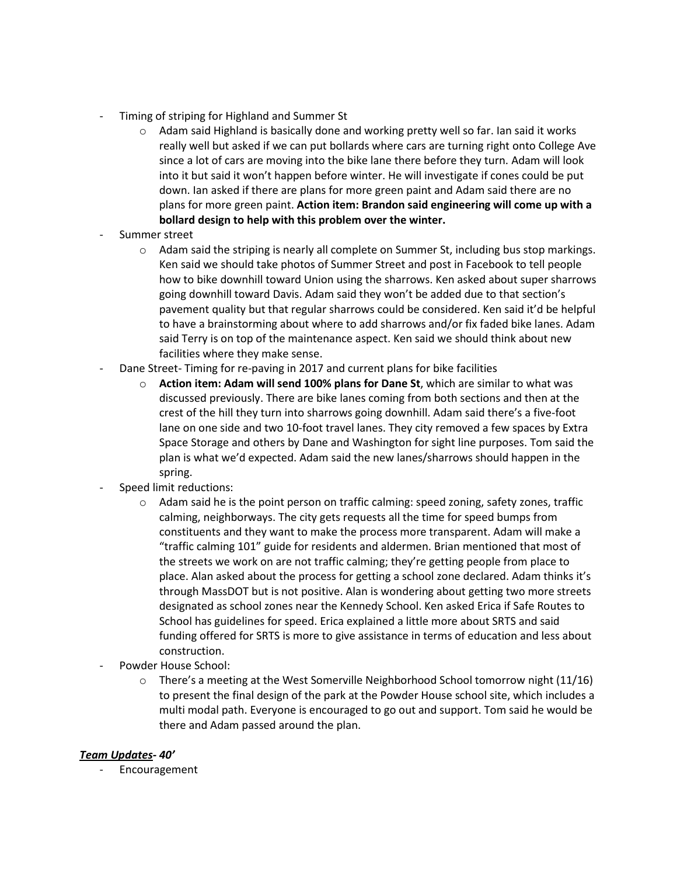- Timing of striping for Highland and Summer St
	- $\circ$  Adam said Highland is basically done and working pretty well so far. Ian said it works really well but asked if we can put bollards where cars are turning right onto College Ave since a lot of cars are moving into the bike lane there before they turn. Adam will look into it but said it won't happen before winter. He will investigate if cones could be put down. Ian asked if there are plans for more green paint and Adam said there are no plans for more green paint. **Action item: Brandon said engineering will come up with a bollard design to help with this problem over the winter.**
- Summer street
	- $\circ$  Adam said the striping is nearly all complete on Summer St, including bus stop markings. Ken said we should take photos of Summer Street and post in Facebook to tell people how to bike downhill toward Union using the sharrows. Ken asked about super sharrows going downhill toward Davis. Adam said they won't be added due to that section's pavement quality but that regular sharrows could be considered. Ken said it'd be helpful to have a brainstorming about where to add sharrows and/or fix faded bike lanes. Adam said Terry is on top of the maintenance aspect. Ken said we should think about new facilities where they make sense.
- Dane Street- Timing for re-paving in 2017 and current plans for bike facilities
	- o **Action item: Adam will send 100% plans for Dane St**, which are similar to what was discussed previously. There are bike lanes coming from both sections and then at the crest of the hill they turn into sharrows going downhill. Adam said there's a five-foot lane on one side and two 10-foot travel lanes. They city removed a few spaces by Extra Space Storage and others by Dane and Washington for sight line purposes. Tom said the plan is what we'd expected. Adam said the new lanes/sharrows should happen in the spring.
- Speed limit reductions:
	- $\circ$  Adam said he is the point person on traffic calming: speed zoning, safety zones, traffic calming, neighborways. The city gets requests all the time for speed bumps from constituents and they want to make the process more transparent. Adam will make a "traffic calming 101" guide for residents and aldermen. Brian mentioned that most of the streets we work on are not traffic calming; they're getting people from place to place. Alan asked about the process for getting a school zone declared. Adam thinks it's through MassDOT but is not positive. Alan is wondering about getting two more streets designated as school zones near the Kennedy School. Ken asked Erica if Safe Routes to School has guidelines for speed. Erica explained a little more about SRTS and said funding offered for SRTS is more to give assistance in terms of education and less about construction.
- Powder House School:
	- $\circ$  There's a meeting at the West Somerville Neighborhood School tomorrow night (11/16) to present the final design of the park at the Powder House school site, which includes a multi modal path. Everyone is encouraged to go out and support. Tom said he would be there and Adam passed around the plan.

### *Team Updates- 40'*

**Encouragement**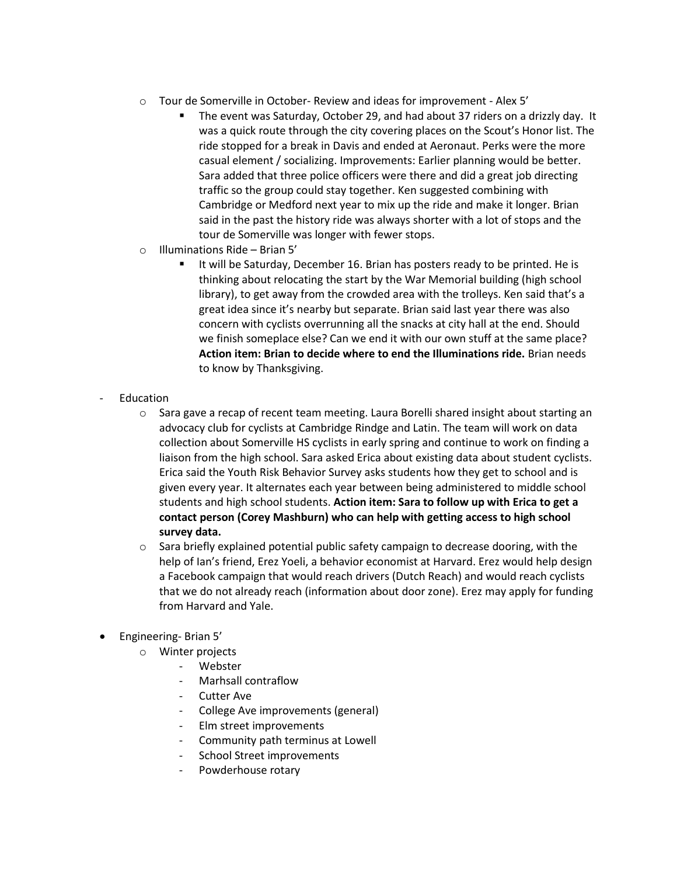- o Tour de Somerville in October- Review and ideas for improvement Alex 5'
	- The event was Saturday, October 29, and had about 37 riders on a drizzly day. It was a quick route through the city covering places on the Scout's Honor list. The ride stopped for a break in Davis and ended at Aeronaut. Perks were the more casual element / socializing. Improvements: Earlier planning would be better. Sara added that three police officers were there and did a great job directing traffic so the group could stay together. Ken suggested combining with Cambridge or Medford next year to mix up the ride and make it longer. Brian said in the past the history ride was always shorter with a lot of stops and the tour de Somerville was longer with fewer stops.
- o Illuminations Ride Brian 5'
	- It will be Saturday, December 16. Brian has posters ready to be printed. He is thinking about relocating the start by the War Memorial building (high school library), to get away from the crowded area with the trolleys. Ken said that's a great idea since it's nearby but separate. Brian said last year there was also concern with cyclists overrunning all the snacks at city hall at the end. Should we finish someplace else? Can we end it with our own stuff at the same place? **Action item: Brian to decide where to end the Illuminations ride.** Brian needs to know by Thanksgiving.
- **Education** 
	- o Sara gave a recap of recent team meeting. Laura Borelli shared insight about starting an advocacy club for cyclists at Cambridge Rindge and Latin. The team will work on data collection about Somerville HS cyclists in early spring and continue to work on finding a liaison from the high school. Sara asked Erica about existing data about student cyclists. Erica said the Youth Risk Behavior Survey asks students how they get to school and is given every year. It alternates each year between being administered to middle school students and high school students. **Action item: Sara to follow up with Erica to get a contact person (Corey Mashburn) who can help with getting access to high school survey data.**
	- $\circ$  Sara briefly explained potential public safety campaign to decrease dooring, with the help of Ian's friend, Erez Yoeli, a behavior economist at Harvard. Erez would help design a Facebook campaign that would reach drivers (Dutch Reach) and would reach cyclists that we do not already reach (information about door zone). Erez may apply for funding from Harvard and Yale.
- Engineering- Brian 5'
	- o Winter projects
		- Webster
		- Marhsall contraflow
		- **Cutter Ave**
		- College Ave improvements (general)
		- Elm street improvements
		- Community path terminus at Lowell
		- School Street improvements
		- Powderhouse rotary